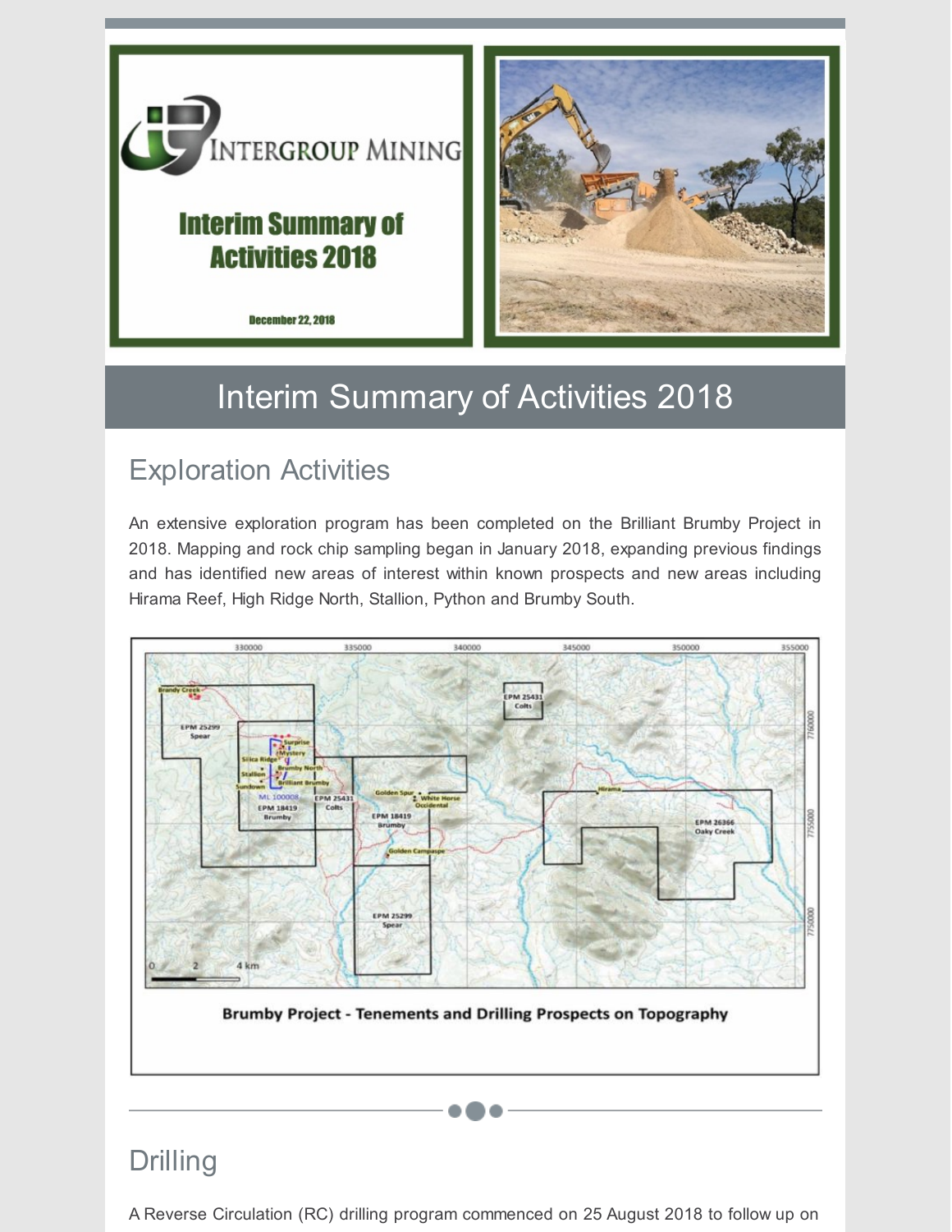

### **Interim Summary of Activities 2018**





## Interim Summary of Activities 2018

### Exploration Activities

An extensive exploration program has been completed on the Brilliant Brumby Project in 2018. Mapping and rock chip sampling began in January 2018, expanding previous findings and has identified new areas of interest within known prospects and new areas including Hirama Reef, High Ridge North, Stallion, Python and Brumby South.



### Drilling

A Reverse Circulation (RC) drilling program commenced on 25 August 2018 to follow up on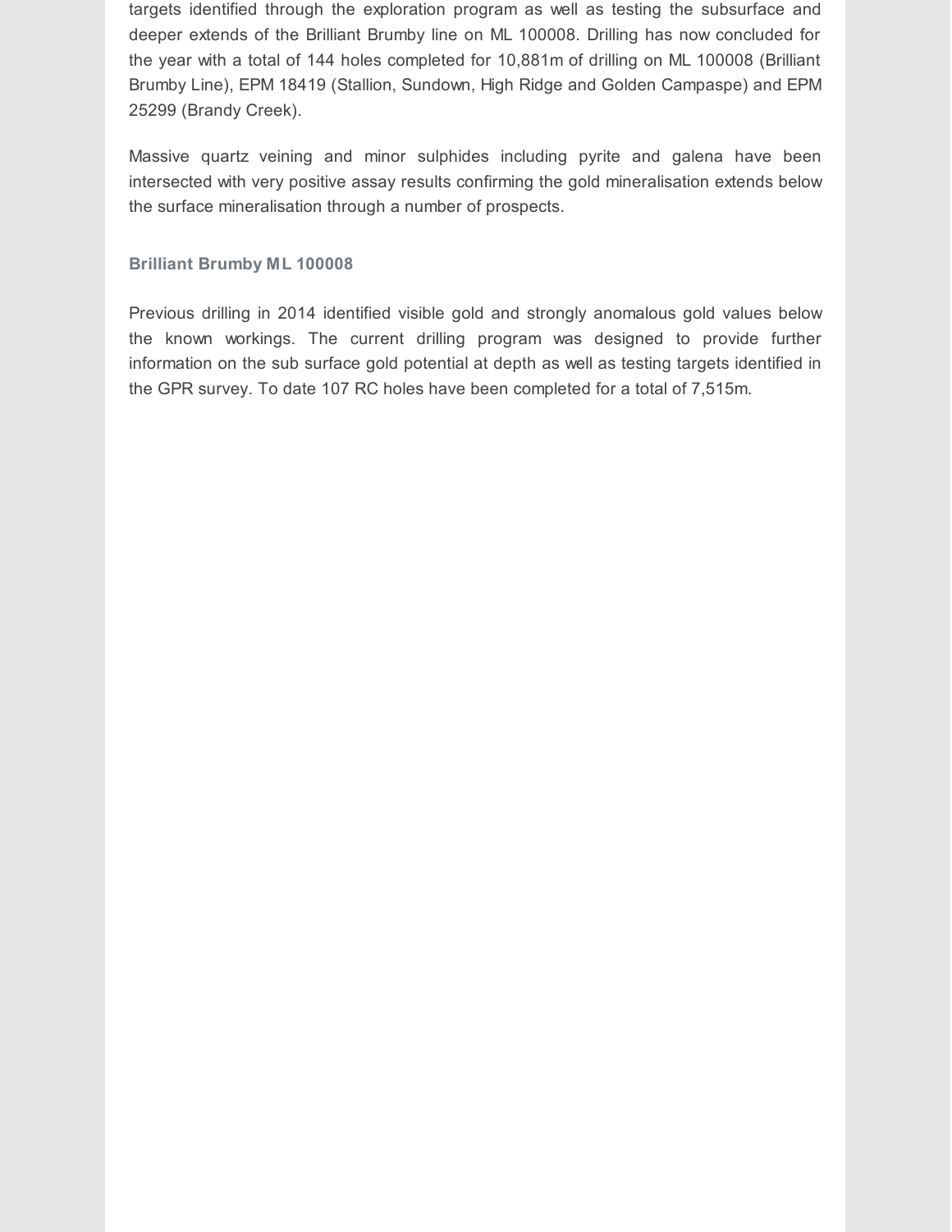targets identified through the exploration program as well as testing the subsurface and deeper extends of the Brilliant Brumby line on ML 100008. Drilling has now concluded for the year with a total of 144 holes completed for 10,881m of drilling on ML 100008 (Brilliant Brumby Line), EPM 18419 (Stallion, Sundown, High Ridge and Golden Campaspe) and EPM 25299 (Brandy Creek).

Massive quartz veining and minor sulphides including pyrite and galena have been intersected with very positive assay results confirming the gold mineralisation extends below the surface mineralisation through a number of prospects.

#### **Brilliant Brumby ML 100008**

Previous drilling in 2014 identified visible gold and strongly anomalous gold values below the known workings. The current drilling program was designed to provide further information on the sub surface gold potential at depth as well as testing targets identified in the GPR survey. To date 107 RC holes have been completed for a total of 7,515m.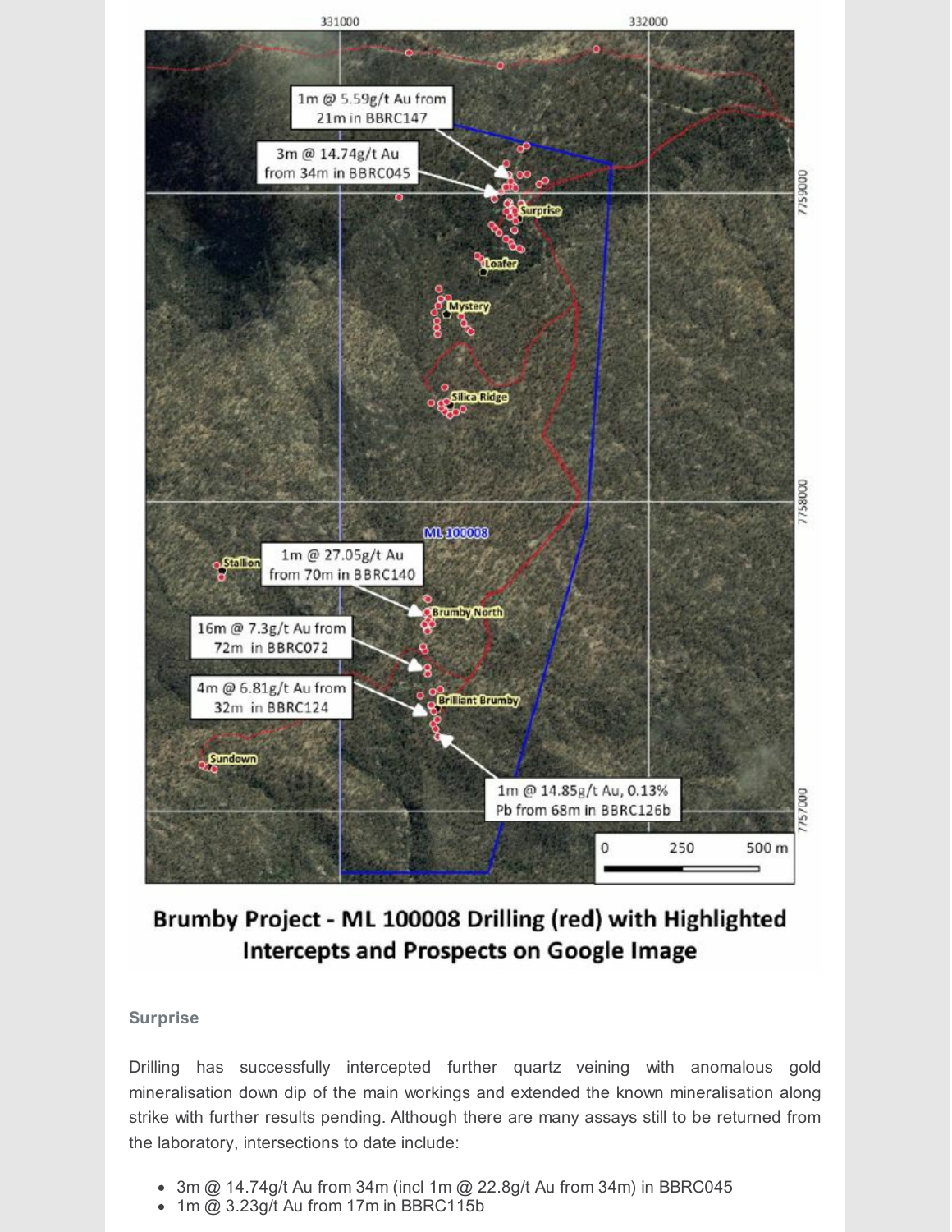

### Brumby Project - ML 100008 Drilling (red) with Highlighted **Intercepts and Prospects on Google Image**

#### **Surprise**

Drilling has successfully intercepted further quartz veining with anomalous gold mineralisation down dip of the main workings and extended the known mineralisation along strike with further results pending. Although there are many assays still to be returned from the laboratory, intersections to date include:

- $\bullet$  3m @ 14.74g/t Au from 34m (incl 1m @ 22.8g/t Au from 34m) in BBRC045
- 1m @ 3.23g/t Au from 17m in BBRC115b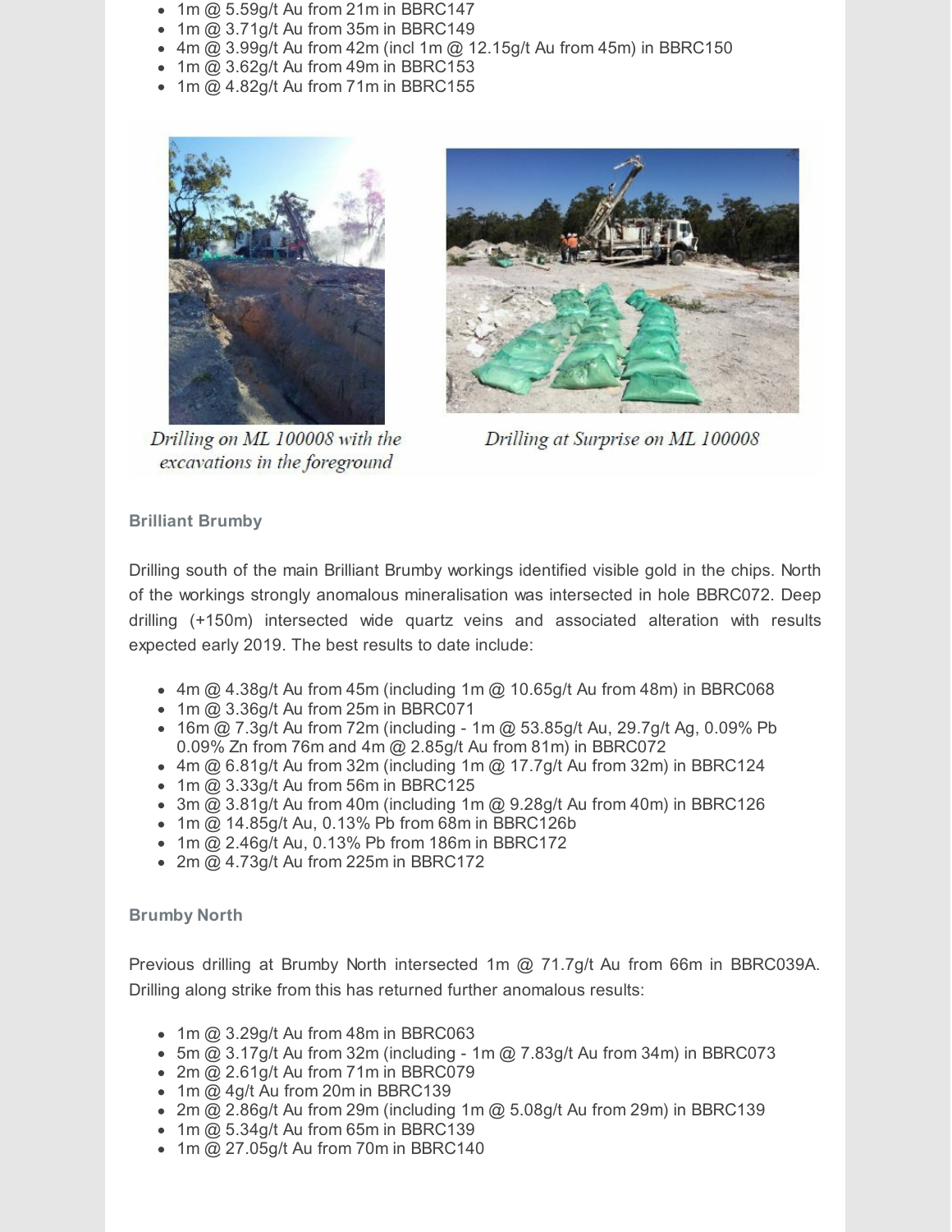- $\bullet$  1m @ 5.59g/t Au from 21m in BBRC147
- $\bullet$  1m @ 3.71g/t Au from 35m in BBRC149
- $\bullet$  4m @ 3.99g/t Au from 42m (incl 1m @ 12.15g/t Au from 45m) in BBRC150
- $\bullet$  1m @ 3.62g/t Au from 49m in BBRC153
- $\bullet$  1m @ 4.82g/t Au from 71m in BBRC155



Drilling on ML 100008 with the excavations in the foreground



Drilling at Surprise on ML 100008

#### **Brilliant Brumby**

Drilling south of the main Brilliant Brumby workings identified visible gold in the chips. North of the workings strongly anomalous mineralisation was intersected in hole BBRC072. Deep drilling (+150m) intersected wide quartz veins and associated alteration with results expected early 2019. The best results to date include:

- $\bullet$  4m @ 4.38g/t Au from 45m (including 1m @ 10.65g/t Au from 48m) in BBRC068
- $\bullet$  1m @ 3.36g/t Au from 25m in BBRC071
- 16m @ 7.3g/t Au from 72m (including 1m @ 53.85g/t Au, 29.7g/t Ag, 0.09% Pb 0.09% Zn from 76m and 4m @ 2.85g/t Au from 81m) in BBRC072
- $\bullet$  4m @ 6.81g/t Au from 32m (including 1m @ 17.7g/t Au from 32m) in BBRC124
- $\bullet$  1m @ 3.33g/t Au from 56m in BBRC125
- $\bullet$  3m  $\overline{Q}$  3.81g/t Au from 40m (including 1m  $\overline{Q}$  9.28g/t Au from 40m) in BBRC126
- $\bullet$  1m @ 14.85g/t Au, 0.13% Pb from 68m in BBRC126b
- 1m @ 2.46g/t Au, 0.13% Pb from 186m in BBRC172
- 2m @ 4.73g/t Au from 225m in BBRC172

#### **Brumby North**

Previous drilling at Brumby North intersected 1m @ 71.7g/t Au from 66m in BBRC039A. Drilling along strike from this has returned further anomalous results:

- $\bullet$  1m @ 3.29g/t Au from 48m in BBRC063
- $\bullet$  5m @ 3.17g/t Au from 32m (including 1m @ 7.83g/t Au from 34m) in BBRC073
- $\bullet$  2m @ 2.61g/t Au from 71m in BBRC079
- $\bullet$  1m @ 4g/t Au from 20m in BBRC139
- 2m @ 2.86g/t Au from 29m (including 1m @ 5.08g/t Au from 29m) in BBRC139
- $\bullet$  1m @ 5.34g/t Au from 65m in BBRC139
- $\bullet$  1m @ 27.05g/t Au from 70m in BBRC140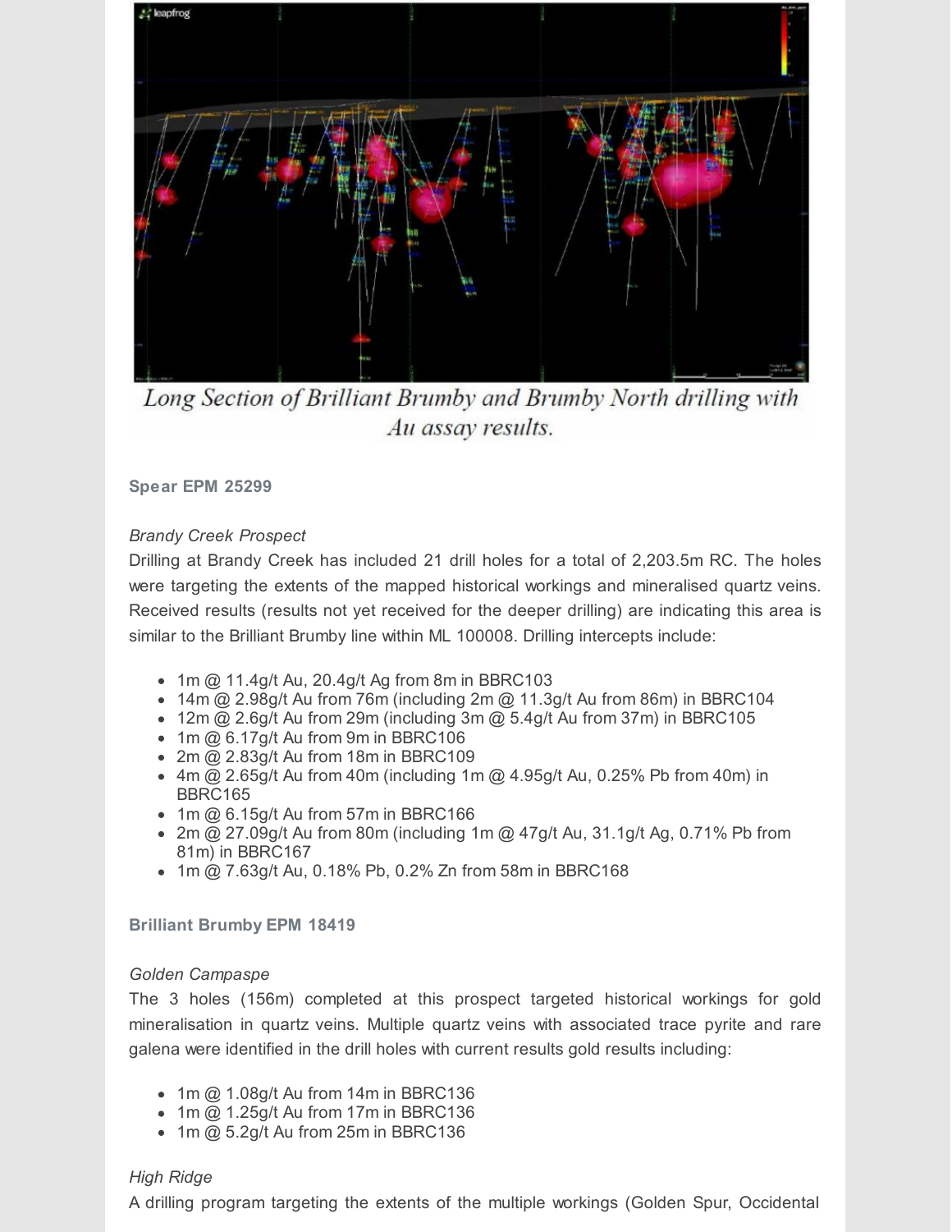

Long Section of Brilliant Brumby and Brumby North drilling with Au assay results.

**Spear EPM 25299**

#### *Brandy Creek Prospect*

Drilling at Brandy Creek has included 21 drill holes for a total of 2,203.5m RC. The holes were targeting the extents of the mapped historical workings and mineralised quartz veins. Received results (results not yet received for the deeper drilling) are indicating this area is similar to the Brilliant Brumby line within ML 100008. Drilling intercepts include:

- $\bullet$  1m @ 11.4g/t Au, 20.4g/t Ag from 8m in BBRC103
- 14m @ 2.98g/t Au from 76m (including 2m @ 11.3g/t Au from 86m) in BBRC104
- 12m  $@$  2.6g/t Au from 29m (including 3m  $@$  5.4g/t Au from 37m) in BBRC105
- $\bullet$  1m @ 6.17g/t Au from 9m in BBRC106
- $\bullet$  2m  $@$  2.83g/t Au from 18m in BBRC109
- $\bullet$  4m @ 2.65g/t Au from 40m (including 1m @ 4.95g/t Au, 0.25% Pb from 40m) in BBRC165
- $\bullet$  1m  $@$  6.15g/t Au from 57m in BBRC166
- 2m  $\omega$  27.09g/t Au from 80m (including 1m  $\omega$  47g/t Au, 31.1g/t Ag, 0.71% Pb from 81m) in BBRC167
- 1m @ 7.63g/t Au, 0.18% Pb, 0.2% Zn from 58m in BBRC168

**Brilliant Brumby EPM 18419**

#### *Golden Campaspe*

The 3 holes (156m) completed at this prospect targeted historical workings for gold mineralisation in quartz veins. Multiple quartz veins with associated trace pyrite and rare galena were identified in the drill holes with current results gold results including:

- $\bullet$  1m @ 1.08g/t Au from 14m in BBRC136
- $\bullet$  1m  $@$  1.25g/t Au from 17m in BBRC136
- $\bullet$  1m @ 5.2g/t Au from 25m in BBRC136

#### *High Ridge*

A drilling program targeting the extents of the multiple workings (Golden Spur, Occidental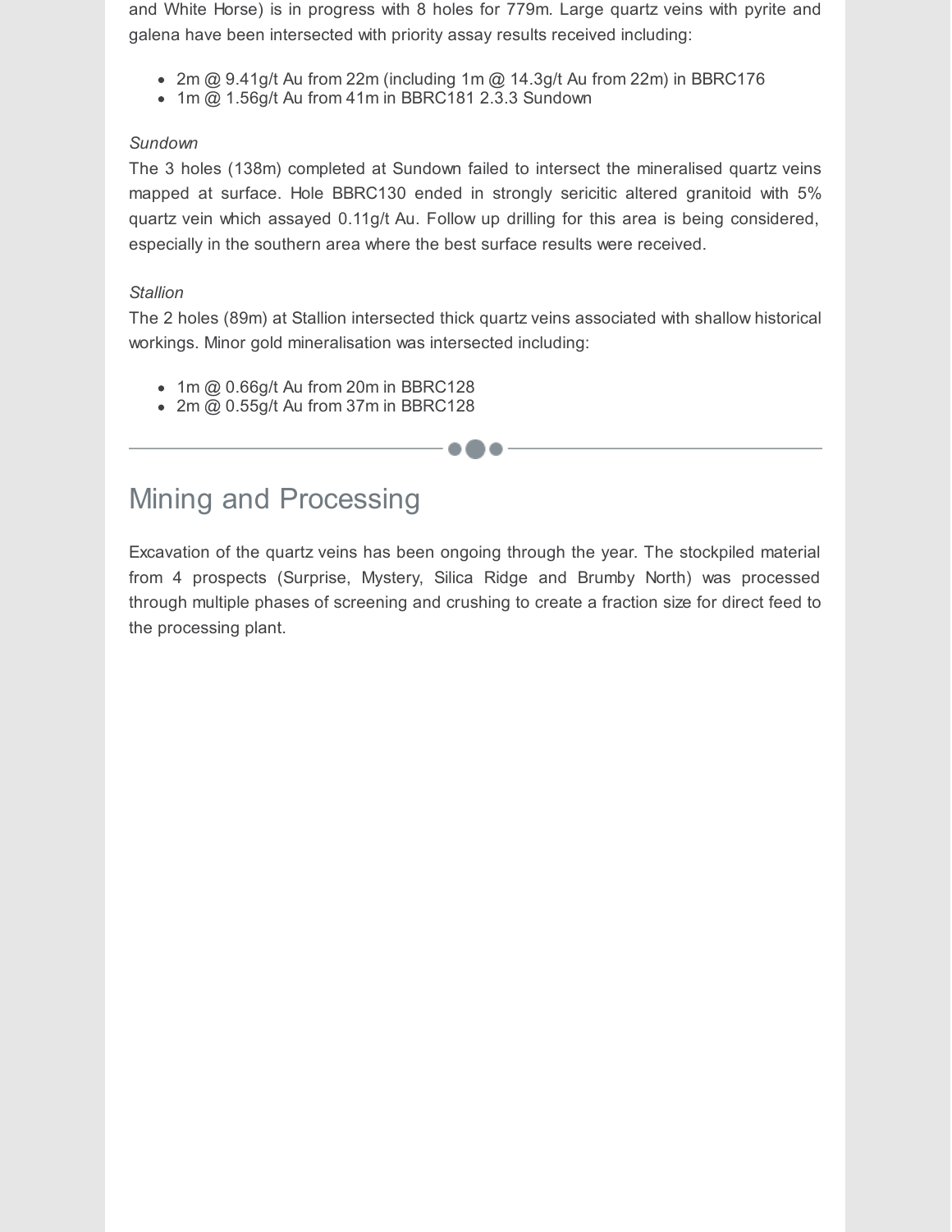and White Horse) is in progress with 8 holes for 779m. Large quartz veins with pyrite and galena have been intersected with priority assay results received including:

- 2m  $@$  9.41g/t Au from 22m (including 1m  $@$  14.3g/t Au from 22m) in BBRC176
- $\bullet$  1m @ 1.56g/t Au from 41m in BBRC181 2.3.3 Sundown

#### *Sundown*

The 3 holes (138m) completed at Sundown failed to intersect the mineralised quartz veins mapped at surface. Hole BBRC130 ended in strongly sericitic altered granitoid with 5% quartz vein which assayed 0.11g/t Au. Follow up drilling for this area is being considered, especially in the southern area where the best surface results were received.

#### *Stallion*

The 2 holes (89m) at Stallion intersected thick quartz veins associated with shallow historical workings. Minor gold mineralisation was intersected including:

--

- $\bullet$  1m @ 0.66g/t Au from 20m in BBRC128
- $\bullet$  2m @ 0.55g/t Au from 37m in BBRC128

### Mining and Processing

Excavation of the quartz veins has been ongoing through the year. The stockpiled material from 4 prospects (Surprise, Mystery, Silica Ridge and Brumby North) was processed through multiple phases of screening and crushing to create a fraction size for direct feed to the processing plant.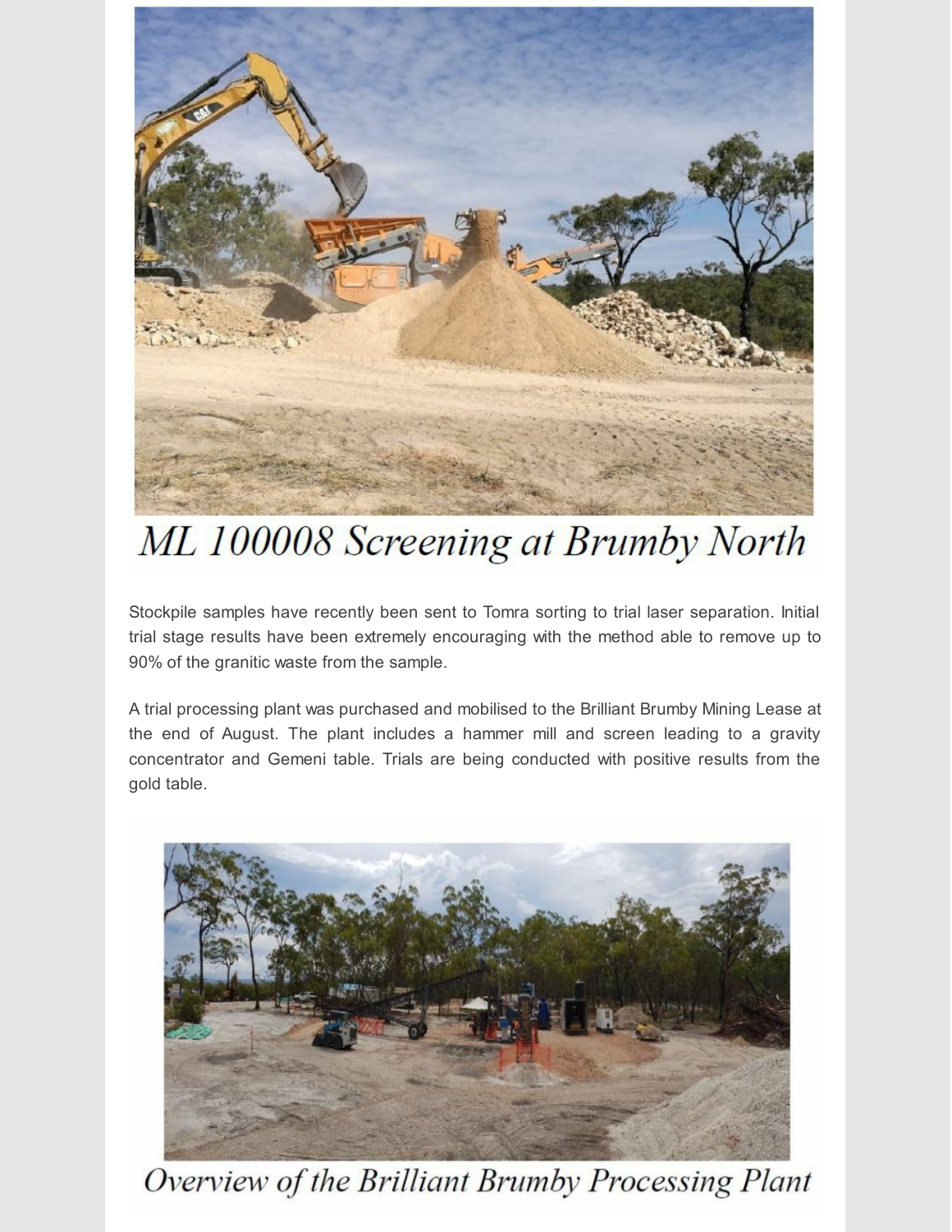

# ML 100008 Screening at Brumby North

Stockpile samples have recently been sent to Tomra sorting to trial laser separation. Initial trial stage results have been extremely encouraging with the method able to remove up to 90% of the granitic waste from the sample.

A trial processing plant was purchased and mobilised to the Brilliant Brumby Mining Lease at the end of August. The plant includes a hammer mill and screen leading to a gravity concentrator and Gemeni table. Trials are being conducted with positive results from the gold table.



Overview of the Brilliant Brumby Processing Plant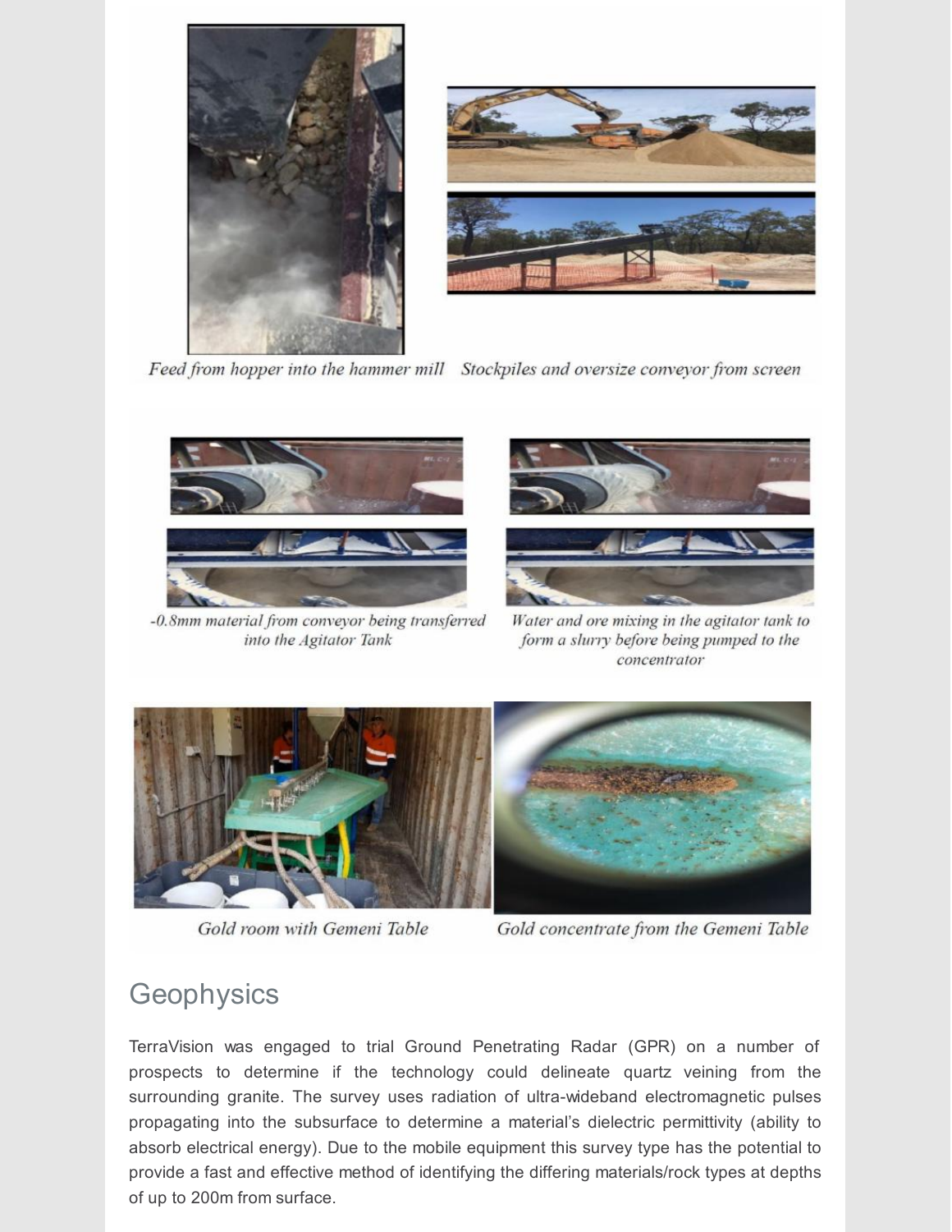



Feed from hopper into the hammer mill Stockpiles and oversize conveyor from screen



-0.8mm material from conveyor being transferred into the Agitator Tank



Water and ore mixing in the agitator tank to form a slurry before being pumped to the concentrator



Gold room with Gemeni Table

Gold concentrate from the Gemeni Table

### **Geophysics**

TerraVision was engaged to trial Ground Penetrating Radar (GPR) on a number of prospects to determine if the technology could delineate quartz veining from the surrounding granite. The survey uses radiation of ultra-wideband electromagnetic pulses propagating into the subsurface to determine a material's dielectric permittivity (ability to absorb electrical energy). Due to the mobile equipment this survey type has the potential to provide a fast and effective method of identifying the differing materials/rock types at depths of up to 200m from surface.